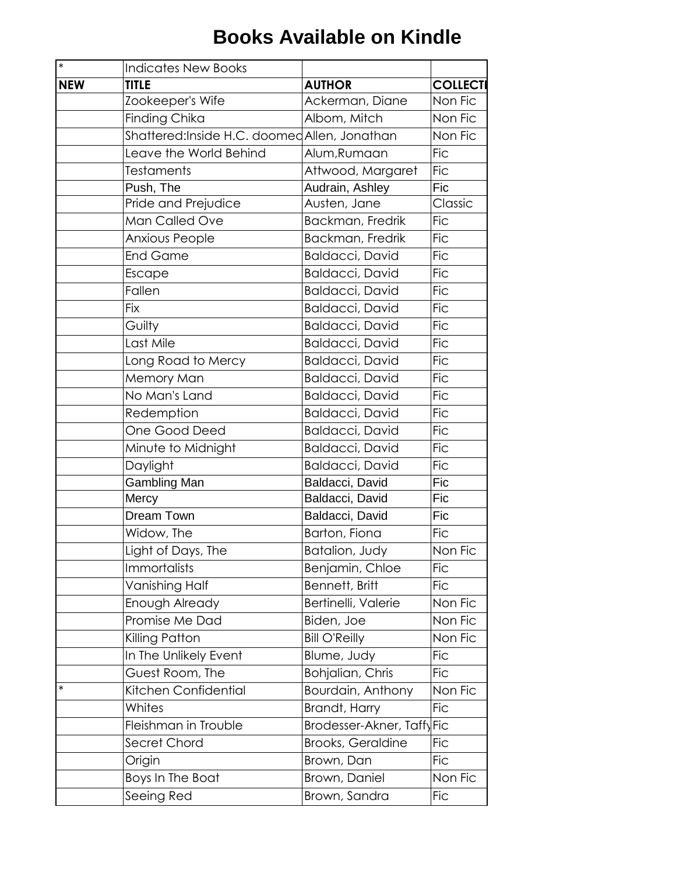| $*$        | <b>Indicates New Books</b>                   |                            |                 |
|------------|----------------------------------------------|----------------------------|-----------------|
| <b>NEW</b> | <b>TITLE</b>                                 | <b>AUTHOR</b>              | <b>COLLECTI</b> |
|            | Zookeeper's Wife                             | Ackerman, Diane            | Non Fic         |
|            | Finding Chika                                | Albom, Mitch               | Non Fic         |
|            | Shattered:Inside H.C. doomed Allen, Jonathan |                            | Non Fic         |
|            | Leave the World Behind                       | Alum, Rumaan               | <b>Fic</b>      |
|            | <b>Testaments</b>                            | Attwood, Margaret          | <b>Fic</b>      |
|            | Push, The                                    | Audrain, Ashley            | <b>Fic</b>      |
|            | Pride and Prejudice                          | Austen, Jane               | Classic         |
|            | Man Called Ove                               | Backman, Fredrik           | <b>Fic</b>      |
|            | Anxious People                               | Backman, Fredrik           | <b>Fic</b>      |
|            | <b>End Game</b>                              | <b>Baldacci, David</b>     | <b>Fic</b>      |
|            | Escape                                       | Baldacci, David            | <b>Fic</b>      |
|            | Fallen                                       | Baldacci, David            | <b>Fic</b>      |
|            | <b>Fix</b>                                   | <b>Baldacci, David</b>     | <b>Fic</b>      |
|            | Guilty                                       | <b>Baldacci, David</b>     | <b>Fic</b>      |
|            | Last Mile                                    | Baldacci, David            | <b>Fic</b>      |
|            | Long Road to Mercy                           | <b>Baldacci, David</b>     | <b>Fic</b>      |
|            | Memory Man                                   | Baldacci, David            | <b>Fic</b>      |
|            | No Man's Land                                | <b>Baldacci, David</b>     | <b>Fic</b>      |
|            | Redemption                                   | <b>Baldacci, David</b>     | <b>Fic</b>      |
|            | One Good Deed                                | <b>Baldacci, David</b>     | <b>Fic</b>      |
|            | Minute to Midnight                           | Baldacci, David            | <b>Fic</b>      |
|            | Daylight                                     | Baldacci, David            | <b>Fic</b>      |
|            | Gambling Man                                 | Baldacci, David            | Fic             |
|            | Mercy                                        | Baldacci, David            | Fic             |
|            | Dream Town                                   | Baldacci, David            | <b>Fic</b>      |
|            | Widow, The                                   | Barton, Fiona              | <b>Fic</b>      |
|            | Light of Days, The                           | Batalion, Judy             | Non Fic         |
|            | <b>Immortalists</b>                          | Benjamin, Chloe            | <b>Fic</b>      |
|            | Vanishing Half                               | Bennett, Britt             | <b>Fic</b>      |
|            | Enough Already                               | Bertinelli, Valerie        | Non Fic         |
|            | Promise Me Dad                               | Biden, Joe                 | Non Fic         |
|            | Killing Patton                               | <b>Bill O'Reilly</b>       | Non Fic         |
|            | In The Unlikely Event                        | Blume, Judy                | <b>Fic</b>      |
|            | Guest Room, The                              | Bohjalian, Chris           | <b>Fic</b>      |
| *          | Kitchen Confidential                         | Bourdain, Anthony          | Non Fic         |
|            | Whites                                       | Brandt, Harry              | <b>Fic</b>      |
|            | Fleishman in Trouble                         | Brodesser-Akner, Taffy Fic |                 |
|            | Secret Chord                                 | <b>Brooks, Geraldine</b>   | <b>Fic</b>      |
|            | Origin                                       | Brown, Dan                 | <b>Fic</b>      |
|            | Boys In The Boat                             | Brown, Daniel              | Non Fic         |
|            | Seeing Red                                   | Brown, Sandra              | <b>Fic</b>      |
|            |                                              |                            |                 |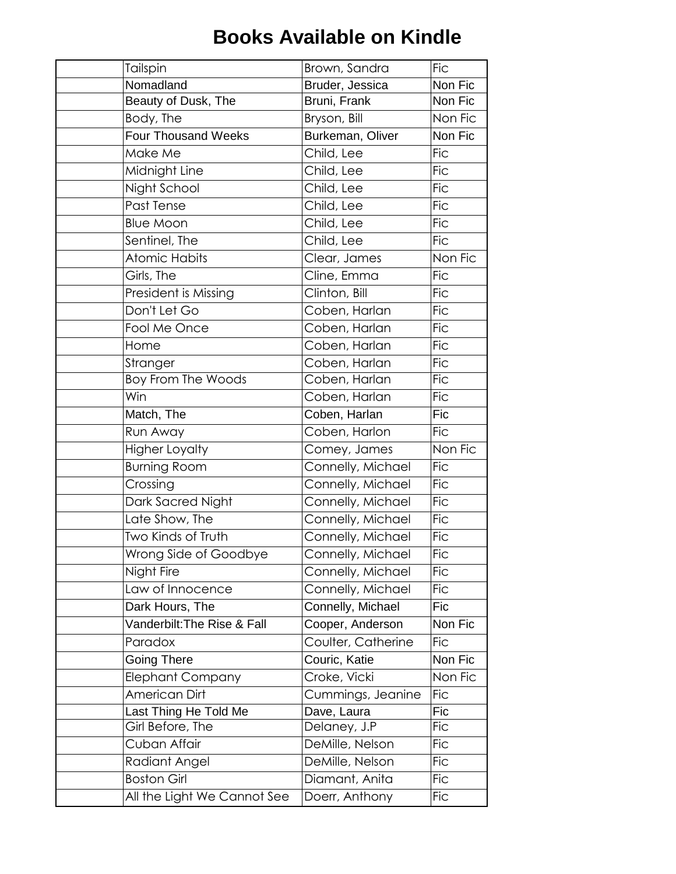| Tailspin                    | Brown, Sandra      | <b>Fic</b> |
|-----------------------------|--------------------|------------|
| Nomadland                   | Bruder, Jessica    | Non Fic    |
| Beauty of Dusk, The         | Bruni, Frank       | Non Fic    |
| Body, The                   | Bryson, Bill       | Non Fic    |
| <b>Four Thousand Weeks</b>  | Burkeman, Oliver   | Non Fic    |
| Make Me                     | Child, Lee         | <b>Fic</b> |
| Midnight Line               | Child, Lee         | <b>Fic</b> |
| Night School                | Child, Lee         | <b>Fic</b> |
| Past Tense                  | Child, Lee         | <b>Fic</b> |
| <b>Blue Moon</b>            | Child, Lee         | <b>Fic</b> |
| Sentinel, The               | Child, Lee         | <b>Fic</b> |
| <b>Atomic Habits</b>        | Clear, James       | Non Fic    |
| Girls, The                  | Cline, Emma        | <b>Fic</b> |
| President is Missing        | Clinton, Bill      | <b>Fic</b> |
| Don't Let Go                | Coben, Harlan      | <b>Fic</b> |
| Fool Me Once                | Coben, Harlan      | <b>Fic</b> |
| Home                        | Coben, Harlan      | <b>Fic</b> |
| Stranger                    | Coben, Harlan      | <b>Fic</b> |
| <b>Boy From The Woods</b>   | Coben, Harlan      | <b>Fic</b> |
| Win                         | Coben, Harlan      | <b>Fic</b> |
| Match, The                  | Coben, Harlan      | Fic        |
| Run Away                    | Coben, Harlon      | <b>Fic</b> |
| <b>Higher Loyalty</b>       | Comey, James       | Non Fic    |
| <b>Burning Room</b>         | Connelly, Michael  | <b>Fic</b> |
| Crossing                    | Connelly, Michael  | <b>Fic</b> |
| Dark Sacred Night           | Connelly, Michael  | <b>Fic</b> |
| Late Show, The              | Connelly, Michael  | <b>Fic</b> |
| Two Kinds of Truth          | Connelly, Michael  | <b>Fic</b> |
| Wrong Side of Goodbye       | Connelly, Michael  | <b>Fic</b> |
| Night Fire                  | Connelly, Michael  | <b>Fic</b> |
| Law of Innocence            | Connelly, Michael  | <b>Fic</b> |
| Dark Hours, The             | Connelly, Michael  | Fic        |
| Vanderbilt: The Rise & Fall | Cooper, Anderson   | Non Fic    |
| Paradox                     | Coulter, Catherine | <b>Fic</b> |
| <b>Going There</b>          | Couric, Katie      | Non Fic    |
| <b>Elephant Company</b>     | Croke, Vicki       | Non Fic    |
| American Dirt               | Cummings, Jeanine  | <b>Fic</b> |
| Last Thing He Told Me       | Dave, Laura        | Fic        |
| Girl Before, The            | Delaney, J.P       | <b>Fic</b> |
| Cuban Affair                | DeMille, Nelson    | <b>Fic</b> |
| Radiant Angel               | DeMille, Nelson    | <b>Fic</b> |
| <b>Boston Girl</b>          | Diamant, Anita     | <b>Fic</b> |
| All the Light We Cannot See | Doerr, Anthony     | <b>Fic</b> |
|                             |                    |            |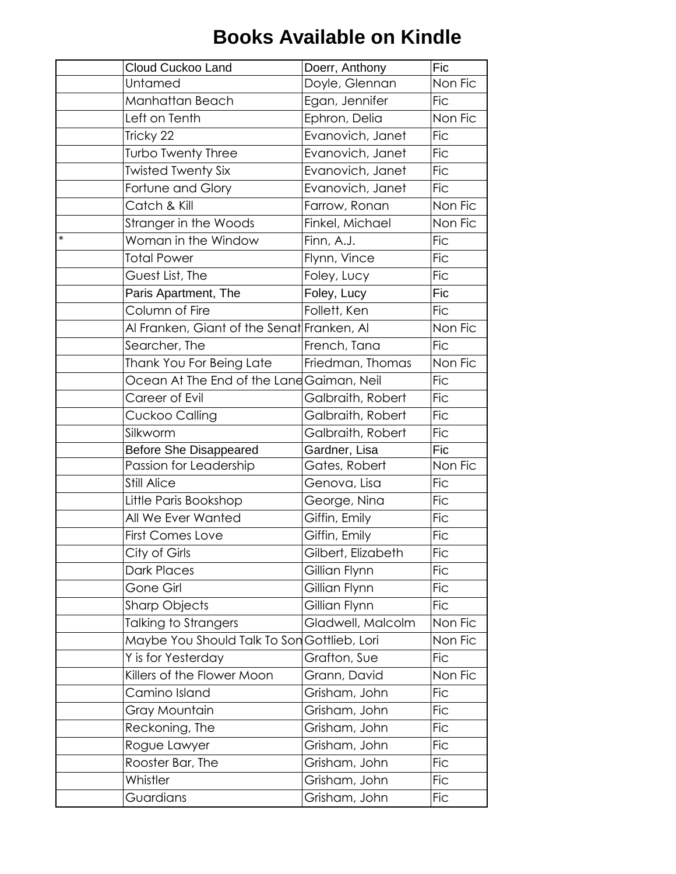| Cloud Cuckoo Land             | Fic<br>Doerr, Anthony                                   |
|-------------------------------|---------------------------------------------------------|
| Untamed                       | Non Fic<br>Doyle, Glennan                               |
| Manhattan Beach               | Egan, Jennifer<br><b>Fic</b>                            |
| Left on Tenth                 | Non Fic<br>Ephron, Delia                                |
| Tricky 22                     | Evanovich, Janet<br><b>Fic</b>                          |
| Turbo Twenty Three            | Evanovich, Janet<br><b>Fic</b>                          |
| <b>Twisted Twenty Six</b>     | <b>Fic</b><br>Evanovich, Janet                          |
| Fortune and Glory             | <b>Fic</b><br>Evanovich, Janet                          |
| Catch & Kill                  | Non Fic<br>Farrow, Ronan                                |
| Stranger in the Woods         | Non Fic<br>Finkel, Michael                              |
| $\ast$<br>Woman in the Window | <b>Fic</b><br>Finn, A.J.                                |
| <b>Total Power</b>            | <b>Fic</b><br>Flynn, Vince                              |
| Guest List, The               | Foley, Lucy<br><b>Fic</b>                               |
| Paris Apartment, The          | Fic<br>Foley, Lucy                                      |
| Column of Fire                | Follett, Ken<br><b>Fic</b>                              |
|                               | Non Fic<br>Al Franken, Giant of the Senat Franken, Al   |
| Searcher, The                 | French, Tana<br><b>Fic</b>                              |
| Thank You For Being Late      | Non Fic<br>Friedman, Thomas                             |
|                               | Ocean At The End of the Lane Gaiman, Neil<br><b>Fic</b> |
| Career of Evil                | Galbraith, Robert<br><b>Fic</b>                         |
| Cuckoo Calling                | Galbraith, Robert<br><b>Fic</b>                         |
| Silkworm                      | <b>Fic</b><br>Galbraith, Robert                         |
| <b>Before She Disappeared</b> | Gardner, Lisa<br>Fic                                    |
| Passion for Leadership        | Non Fic<br>Gates, Robert                                |
| <b>Still Alice</b>            | <b>Fic</b><br>Genova, Lisa                              |
| Little Paris Bookshop         | <b>Fic</b><br>George, Nina                              |
| All We Ever Wanted            | Giffin, Emily<br><b>Fic</b>                             |
| <b>First Comes Love</b>       | Giffin, Emily<br><b>Fic</b>                             |
| City of Girls                 | $\overline{F}$ ic<br>Gilbert, Elizabeth                 |
| Dark Places                   | Gillian Flynn<br><b>Fic</b>                             |
| Gone Girl                     | Gillian Flynn<br><b>Fic</b>                             |
| <b>Sharp Objects</b>          | Gillian Flynn<br><b>Fic</b>                             |
| Talking to Strangers          | Gladwell, Malcolm<br>Non Fic                            |
|                               | Non Fic<br>Maybe You Should Talk To Son Gottlieb, Lori  |
| Y is for Yesterday            | Grafton, Sue<br><b>Fic</b>                              |
| Killers of the Flower Moon    | Non Fic<br>Grann, David                                 |
| Camino Island                 | <b>Fic</b><br>Grisham, John                             |
| Gray Mountain                 | <b>Fic</b><br>Grisham, John                             |
| Reckoning, The                | <b>Fic</b><br>Grisham, John                             |
| Rogue Lawyer                  | Grisham, John<br><b>Fic</b>                             |
| Rooster Bar, The              | <b>Fic</b><br>Grisham, John                             |
| Whistler                      | Grisham, John<br><b>Fic</b>                             |
| Guardians                     | Grisham, John<br><b>Fic</b>                             |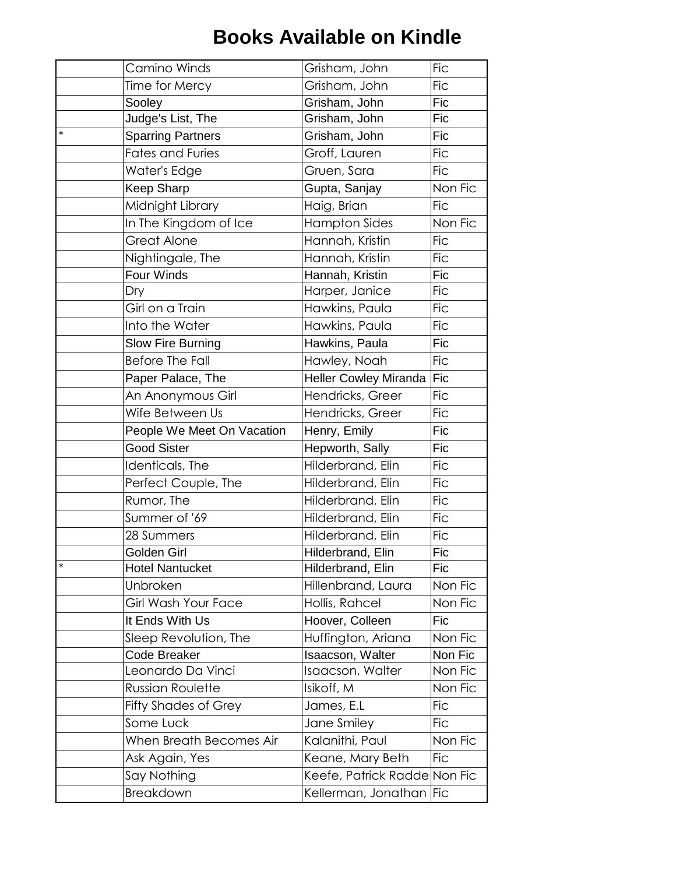|        | Camino Winds                | Grisham, John                | <b>Fic</b> |
|--------|-----------------------------|------------------------------|------------|
|        | Time for Mercy              | Grisham, John                | <b>Fic</b> |
|        | Sooley                      | Grisham, John                | Fic        |
|        | Judge's List, The           | Grisham, John                | Fic        |
| $\ast$ | <b>Sparring Partners</b>    | Grisham, John                | Fic        |
|        | <b>Fates and Furies</b>     | Groff, Lauren                | <b>Fic</b> |
|        | Water's Edge                | Gruen, Sara                  | <b>Fic</b> |
|        | Keep Sharp                  | Gupta, Sanjay                | Non Fic    |
|        | Midnight Library            | Haig, Brian                  | <b>Fic</b> |
|        | In The Kingdom of Ice       | <b>Hampton Sides</b>         | Non Fic    |
|        | <b>Great Alone</b>          | Hannah, Kristin              | <b>Fic</b> |
|        | Nightingale, The            | Hannah, Kristin              | <b>Fic</b> |
|        | Four Winds                  | Hannah, Kristin              | <b>Fic</b> |
|        | Dry                         | Harper, Janice               | <b>Fic</b> |
|        | Girl on a Train             | Hawkins, Paula               | <b>Fic</b> |
|        | Into the Water              | Hawkins, Paula               | <b>Fic</b> |
|        | Slow Fire Burning           | Hawkins, Paula               | Fic        |
|        | <b>Before The Fall</b>      | Hawley, Noah                 | <b>Fic</b> |
|        | Paper Palace, The           | <b>Heller Cowley Miranda</b> | Fic        |
|        | An Anonymous Girl           | Hendricks, Greer             | <b>Fic</b> |
|        | Wife Between Us             | Hendricks, Greer             | <b>Fic</b> |
|        | People We Meet On Vacation  | Henry, Emily                 | <b>Fic</b> |
|        | <b>Good Sister</b>          | Hepworth, Sally              | Fic        |
|        | Identicals, The             | Hilderbrand, Elin            | <b>Fic</b> |
|        | Perfect Couple, The         | Hilderbrand, Elin            | <b>Fic</b> |
|        | Rumor, The                  | Hilderbrand, Elin            | <b>Fic</b> |
|        | Summer of '69               | Hilderbrand, Elin            | <b>Fic</b> |
|        | 28 Summers                  | Hilderbrand, Elin            | <b>Fic</b> |
|        | Golden Girl                 | Hilderbrand, Elin            | Fic        |
| $\ast$ | <b>Hotel Nantucket</b>      | Hilderbrand, Elin            | Fic        |
|        | Unbroken                    | Hillenbrand, Laura           | Non Fic    |
|        | Girl Wash Your Face         | Hollis, Rahcel               | Non Fic    |
|        | It Ends With Us             | Hoover, Colleen              | Fic        |
|        | Sleep Revolution, The       | Huffington, Ariana           | Non Fic    |
|        | <b>Code Breaker</b>         | Isaacson, Walter             | Non Fic    |
|        | Leonardo Da Vinci           | Isaacson, Walter             | Non Fic    |
|        | <b>Russian Roulette</b>     | Isikoff, M                   | Non Fic    |
|        | <b>Fifty Shades of Grey</b> | James, E.L                   | <b>Fic</b> |
|        | Some Luck                   | Jane Smiley                  | <b>Fic</b> |
|        | When Breath Becomes Air     | Kalanithi, Paul              | Non Fic    |
|        | Ask Again, Yes              | Keane, Mary Beth             | <b>Fic</b> |
|        | Say Nothing                 | Keefe, Patrick Radde Non Fic |            |
|        | <b>Breakdown</b>            | Kellerman, Jonathan          | <b>Fic</b> |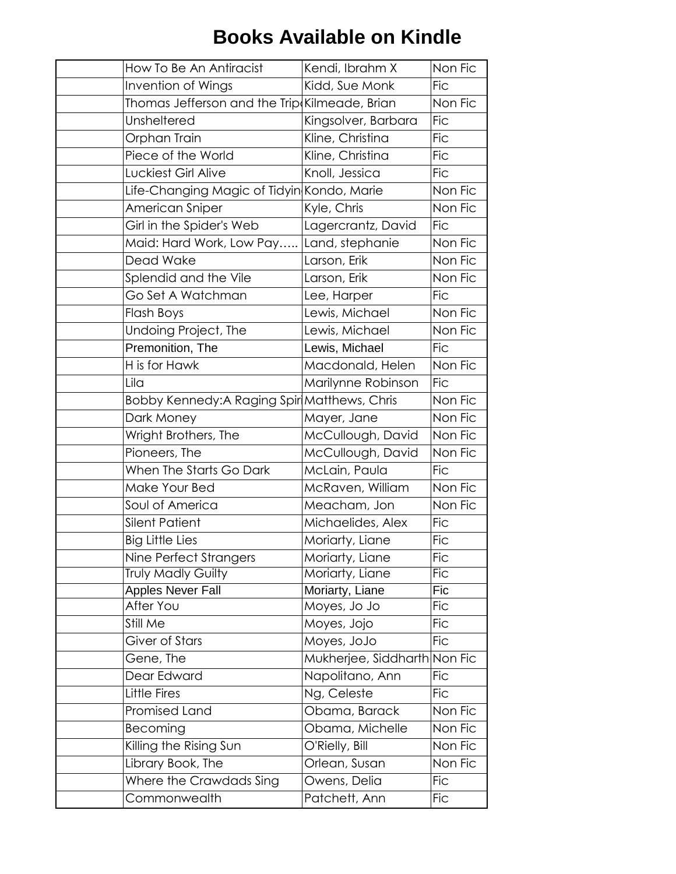| How To Be An Antiracist                       | Kendi, Ibrahm X              | Non Fic    |
|-----------------------------------------------|------------------------------|------------|
| Invention of Wings                            | Kidd, Sue Monk               | <b>Fic</b> |
| Thomas Jefferson and the Trip Kilmeade, Brian |                              | Non Fic    |
| Unsheltered                                   | Kingsolver, Barbara          | <b>Fic</b> |
| Orphan Train                                  | Kline, Christina             | <b>Fic</b> |
| Piece of the World                            | Kline, Christina             | <b>Fic</b> |
| Luckiest Girl Alive                           | Knoll, Jessica               | <b>Fic</b> |
| Life-Changing Magic of Tidyin Kondo, Marie    |                              | Non Fic    |
| American Sniper                               | Kyle, Chris                  | Non Fic    |
| Girl in the Spider's Web                      | Lagercrantz, David           | <b>Fic</b> |
| Maid: Hard Work, Low Pay                      | Land, stephanie              | Non Fic    |
| <b>Dead Wake</b>                              | Larson, Erik                 | Non Fic    |
| Splendid and the Vile                         | Larson, Erik                 | Non Fic    |
| Go Set A Watchman                             | Lee, Harper                  | <b>Fic</b> |
| Flash Boys                                    | Lewis, Michael               | Non Fic    |
| Undoing Project, The                          | Lewis, Michael               | Non Fic    |
| Premonition, The                              | Lewis, Michael               | <b>Fic</b> |
| H is for Hawk                                 | Macdonald, Helen             | Non Fic    |
| Lila                                          | Marilynne Robinson           | <b>Fic</b> |
| Bobby Kennedy:A Raging Spir Matthews, Chris   |                              | Non Fic    |
| Dark Money                                    | Mayer, Jane                  | Non Fic    |
| Wright Brothers, The                          | McCullough, David            | Non Fic    |
| Pioneers, The                                 | McCullough, David            | Non Fic    |
| When The Starts Go Dark                       | McLain, Paula                | <b>Fic</b> |
| Make Your Bed                                 | McRaven, William             | Non Fic    |
| Soul of America                               | Meacham, Jon                 | Non Fic    |
| <b>Silent Patient</b>                         | Michaelides, Alex            | <b>Fic</b> |
| <b>Big Little Lies</b>                        | Moriarty, Liane              | <b>Fic</b> |
| Nine Perfect Strangers                        | Moriarty, Liane              | Fic        |
| <b>Truly Madly Guilty</b>                     | Moriarty, Liane              | <b>Fic</b> |
| <b>Apples Never Fall</b>                      | Moriarty, Liane              | Fic        |
| After You                                     | Moyes, Jo Jo                 | <b>Fic</b> |
| Still Me                                      | Moyes, Jojo                  | <b>Fic</b> |
| Giver of Stars                                | Moyes, JoJo                  | <b>Fic</b> |
| Gene, The                                     | Mukherjee, Siddharth Non Fic |            |
| Dear Edward                                   | Napolitano, Ann              | <b>Fic</b> |
| Little Fires                                  | Ng, Celeste                  | <b>Fic</b> |
| Promised Land                                 | Obama, Barack                | Non Fic    |
| Becoming                                      | Obama, Michelle              | Non Fic    |
| Killing the Rising Sun                        | O'Rielly, Bill               | Non Fic    |
| Library Book, The                             | Orlean, Susan                | Non Fic    |
| Where the Crawdads Sing                       | Owens, Delia                 | <b>Fic</b> |
| Commonwealth                                  | Patchett, Ann                | <b>Fic</b> |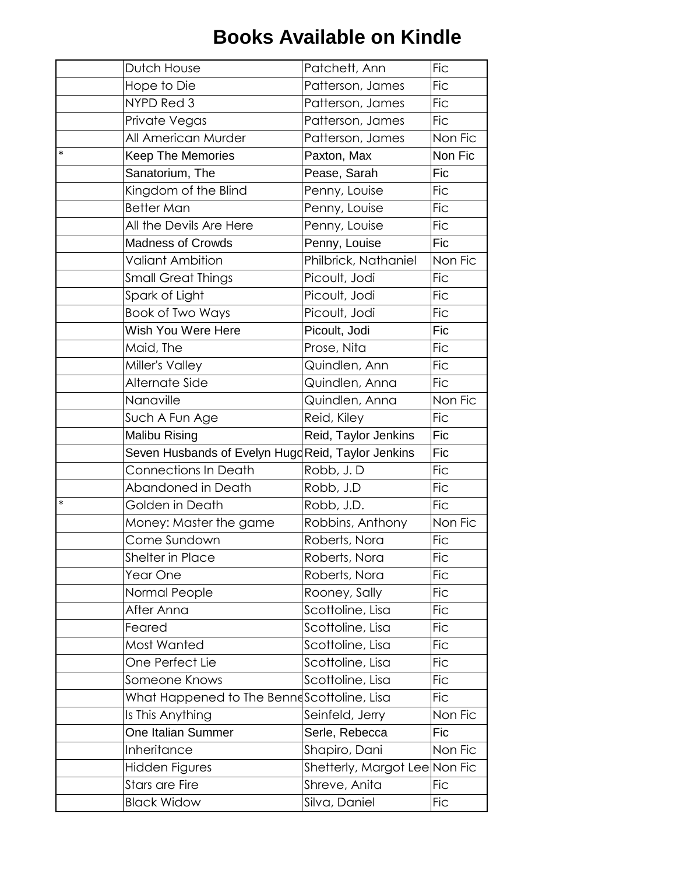|        | Dutch House                                       | Patchett, Ann                 | <b>Fic</b> |
|--------|---------------------------------------------------|-------------------------------|------------|
|        | Hope to Die                                       | Patterson, James              | <b>Fic</b> |
|        | NYPD Red 3                                        | Patterson, James              | <b>Fic</b> |
|        | Private Vegas                                     | Patterson, James              | <b>Fic</b> |
|        | All American Murder                               | Patterson, James              | Non Fic    |
| $\ast$ | <b>Keep The Memories</b>                          | Paxton, Max                   | Non Fic    |
|        | Sanatorium, The                                   | Pease, Sarah                  | Fic        |
|        | Kingdom of the Blind                              | Penny, Louise                 | <b>Fic</b> |
|        | <b>Better Man</b>                                 | Penny, Louise                 | <b>Fic</b> |
|        | All the Devils Are Here                           | Penny, Louise                 | <b>Fic</b> |
|        | <b>Madness of Crowds</b>                          | Penny, Louise                 | <b>Fic</b> |
|        | <b>Valiant Ambition</b>                           | Philbrick, Nathaniel          | Non Fic    |
|        | <b>Small Great Things</b>                         | Picoult, Jodi                 | <b>Fic</b> |
|        | Spark of Light                                    | Picoult, Jodi                 | <b>Fic</b> |
|        | Book of Two Ways                                  | Picoult, Jodi                 | <b>Fic</b> |
|        | Wish You Were Here                                | Picoult, Jodi                 | Fic        |
|        | Maid, The                                         | Prose, Nita                   | <b>Fic</b> |
|        | Miller's Valley                                   | Quindlen, Ann                 | <b>Fic</b> |
|        | Alternate Side                                    | Quindlen, Anna                | <b>Fic</b> |
|        | Nanaville                                         | Quindlen, Anna                | Non Fic    |
|        | Such A Fun Age                                    | Reid, Kiley                   | <b>Fic</b> |
|        | <b>Malibu Rising</b>                              | Reid, Taylor Jenkins          | <b>Fic</b> |
|        | Seven Husbands of Evelyn HugdReid, Taylor Jenkins |                               | Fic        |
|        | <b>Connections In Death</b>                       | Robb, J.D                     | <b>Fic</b> |
|        | Abandoned in Death                                | Robb, J.D                     | <b>Fic</b> |
| *      | Golden in Death                                   | Robb, J.D.                    | <b>Fic</b> |
|        | Money: Master the game                            | Robbins, Anthony              | Non Fic    |
|        | Come Sundown                                      | Roberts, Nora                 | <b>Fic</b> |
|        | <b>Shelter in Place</b>                           | Roberts, Nora                 | <b>Fic</b> |
|        | Year One                                          | Roberts, Nora                 | <b>Fic</b> |
|        | Normal People                                     | Rooney, Sally                 | <b>Fic</b> |
|        | After Anna                                        | Scottoline, Lisa              | <b>Fic</b> |
|        | Feared                                            | Scottoline, Lisa              | <b>Fic</b> |
|        | Most Wanted                                       | Scottoline, Lisa              | <b>Fic</b> |
|        | One Perfect Lie                                   | Scottoline, Lisa              | <b>Fic</b> |
|        | Someone Knows                                     | Scottoline, Lisa              | <b>Fic</b> |
|        | What Happened to The Bennescottoline, Lisa        |                               | <b>Fic</b> |
|        | Is This Anything                                  | Seinfeld, Jerry               | Non Fic    |
|        | One Italian Summer                                | Serle, Rebecca                | Fic        |
|        | Inheritance                                       | Shapiro, Dani                 | Non Fic    |
|        | Hidden Figures                                    | Shetterly, Margot Lee Non Fic |            |
|        | <b>Stars are Fire</b>                             | Shreve, Anita                 | <b>Fic</b> |
|        | <b>Black Widow</b>                                | Silva, Daniel                 | <b>Fic</b> |
|        |                                                   |                               |            |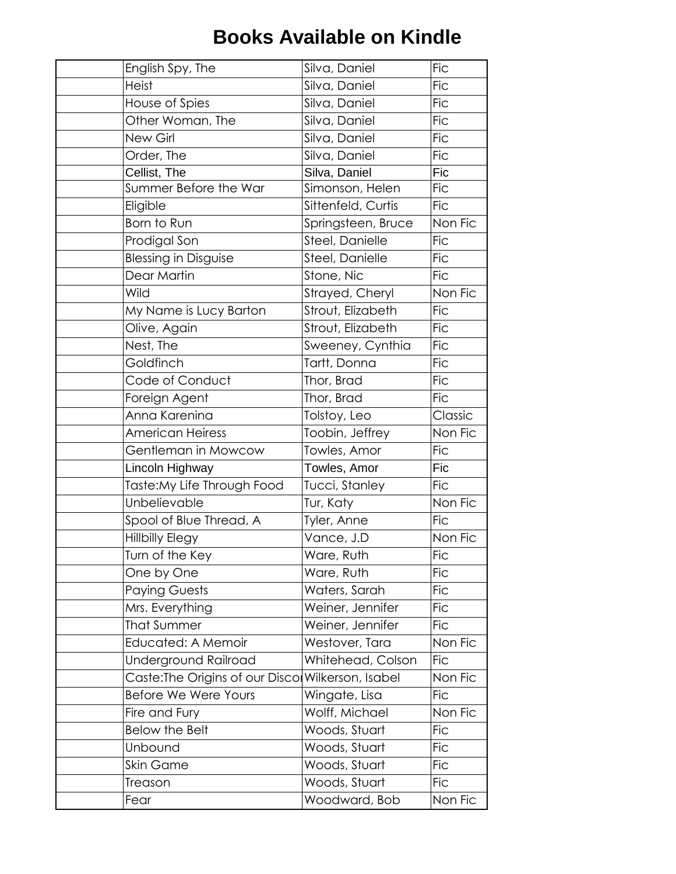| English Spy, The                                  | Silva, Daniel      | <b>Fic</b> |
|---------------------------------------------------|--------------------|------------|
| <b>Heist</b>                                      | Silva, Daniel      | <b>Fic</b> |
| House of Spies                                    | Silva, Daniel      | <b>Fic</b> |
| Other Woman, The                                  | Silva, Daniel      | <b>Fic</b> |
| New Girl                                          | Silva, Daniel      | <b>Fic</b> |
| Order, The                                        | Silva, Daniel      | <b>Fic</b> |
| Cellist, The                                      | Silva, Daniel      | Fic        |
| Summer Before the War                             | Simonson, Helen    | <b>Fic</b> |
| Eligible                                          | Sittenfeld, Curtis | <b>Fic</b> |
| Born to Run                                       | Springsteen, Bruce | Non Fic    |
| Prodigal Son                                      | Steel, Danielle    | <b>Fic</b> |
| <b>Blessing in Disguise</b>                       | Steel, Danielle    | <b>Fic</b> |
| Dear Martin                                       | Stone, Nic         | <b>Fic</b> |
| Wild                                              | Strayed, Cheryl    | Non Fic    |
| My Name is Lucy Barton                            | Strout, Elizabeth  | <b>Fic</b> |
| Olive, Again                                      | Strout, Elizabeth  | <b>Fic</b> |
| Nest, The                                         | Sweeney, Cynthia   | <b>Fic</b> |
| Goldfinch                                         | Tartt, Donna       | <b>Fic</b> |
| Code of Conduct                                   | Thor, Brad         | <b>Fic</b> |
| Foreign Agent                                     | Thor, Brad         | <b>Fic</b> |
| Anna Karenina                                     | Tolstoy, Leo       | Classic    |
| <b>American Heiress</b>                           | Toobin, Jeffrey    | Non Fic    |
| Gentleman in Mowcow                               | Towles, Amor       | <b>Fic</b> |
| Lincoln Highway                                   | Towles, Amor       | Fic        |
| Taste:My Life Through Food                        | Tucci, Stanley     | <b>Fic</b> |
| Unbelievable                                      | Tur, Katy          | Non Fic    |
| Spool of Blue Thread, A                           | Tyler, Anne        | <b>Fic</b> |
| <b>Hillbilly Elegy</b>                            | Vance, J.D         | Non Fic    |
| Turn of the Key                                   | Ware, Ruth         | <b>Fic</b> |
| One by One                                        | Ware, Ruth         | <b>Fic</b> |
| Paying Guests                                     | Waters, Sarah      | <b>Fic</b> |
| Mrs. Everything                                   | Weiner, Jennifer   | <b>Fic</b> |
| <b>That Summer</b>                                | Weiner, Jennifer   | <b>Fic</b> |
| Educated: A Memoir                                | Westover, Tara     | Non Fic    |
| Underground Railroad                              | Whitehead, Colson  | <b>Fic</b> |
| Caste: The Origins of our Disco Wilkerson, Isabel |                    | Non Fic    |
| Before We Were Yours                              | Wingate, Lisa      | <b>Fic</b> |
| Fire and Fury                                     | Wolff, Michael     | Non Fic    |
| <b>Below the Belt</b>                             | Woods, Stuart      | <b>Fic</b> |
| Unbound                                           | Woods, Stuart      | <b>Fic</b> |
| <b>Skin Game</b>                                  | Woods, Stuart      | <b>Fic</b> |
| Treason                                           | Woods, Stuart      | <b>Fic</b> |
| Fear                                              | Woodward, Bob      | Non Fic    |